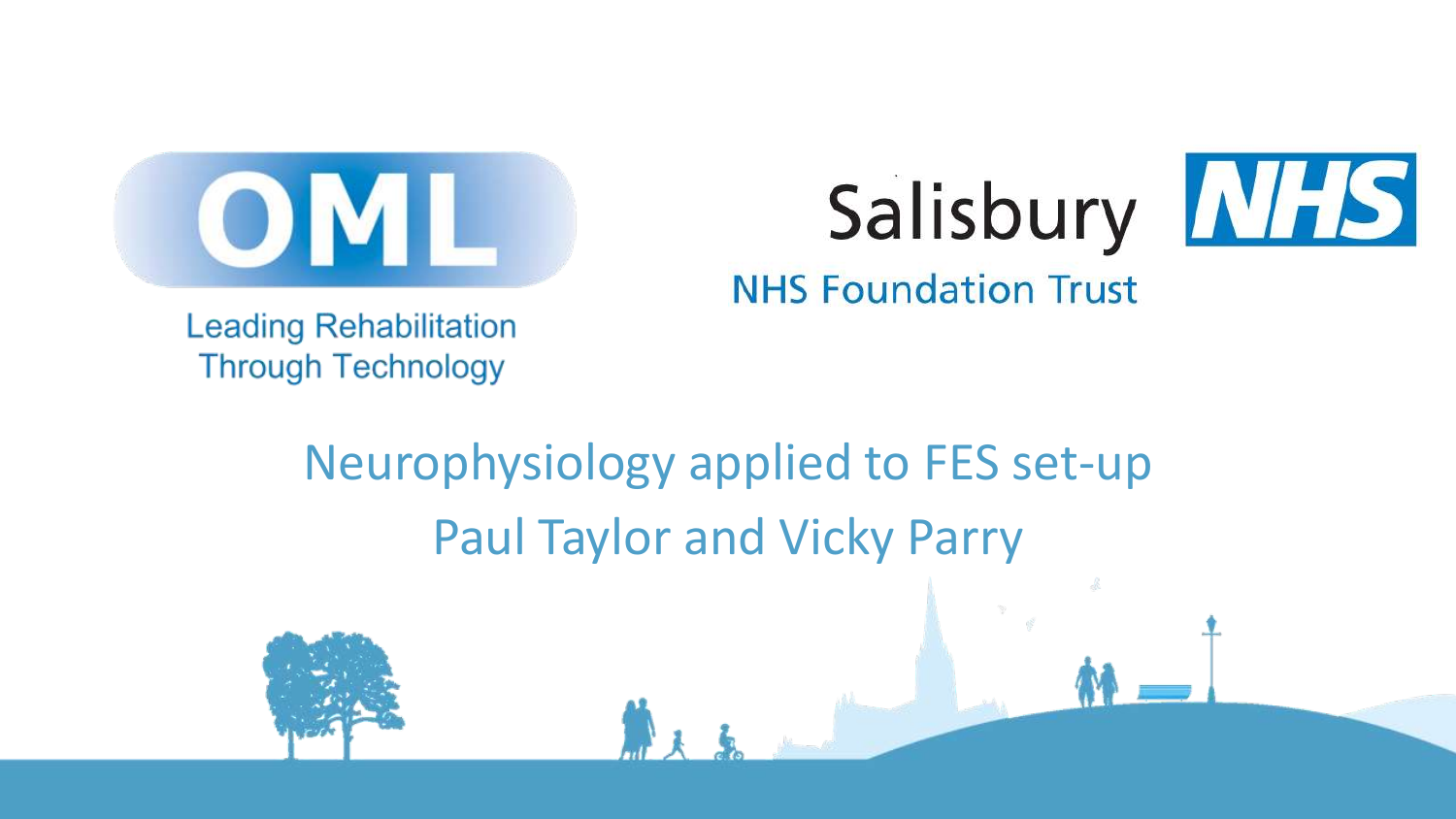

# Salisbury [NFS]



**NHS Foundation Trust** 

**Leading Rehabilitation Through Technology** 

## Neurophysiology applied to FES set-up Paul Taylor and Vicky Parry

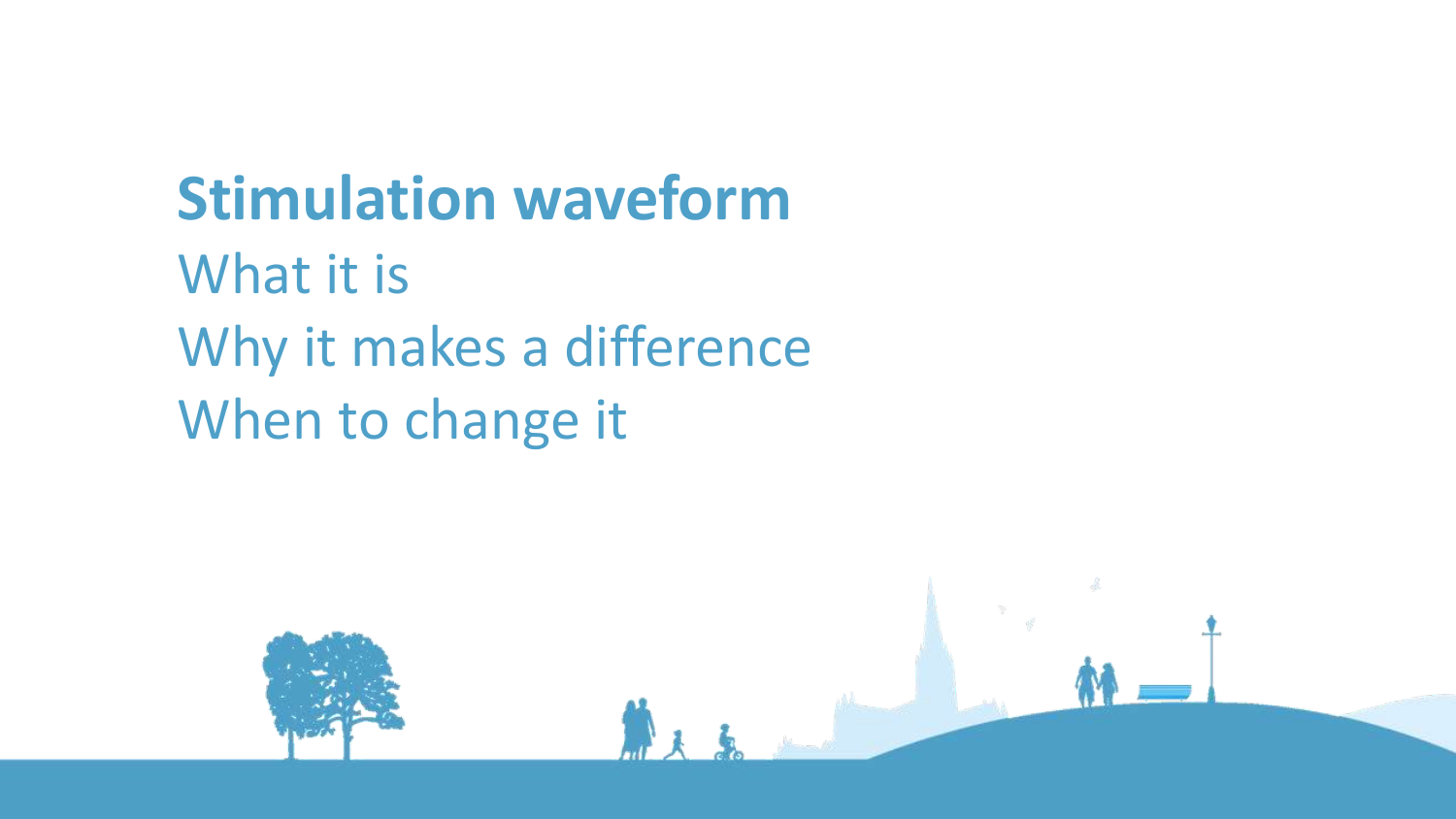## **Stimulation waveform**

What it is Why it makes a difference When to change it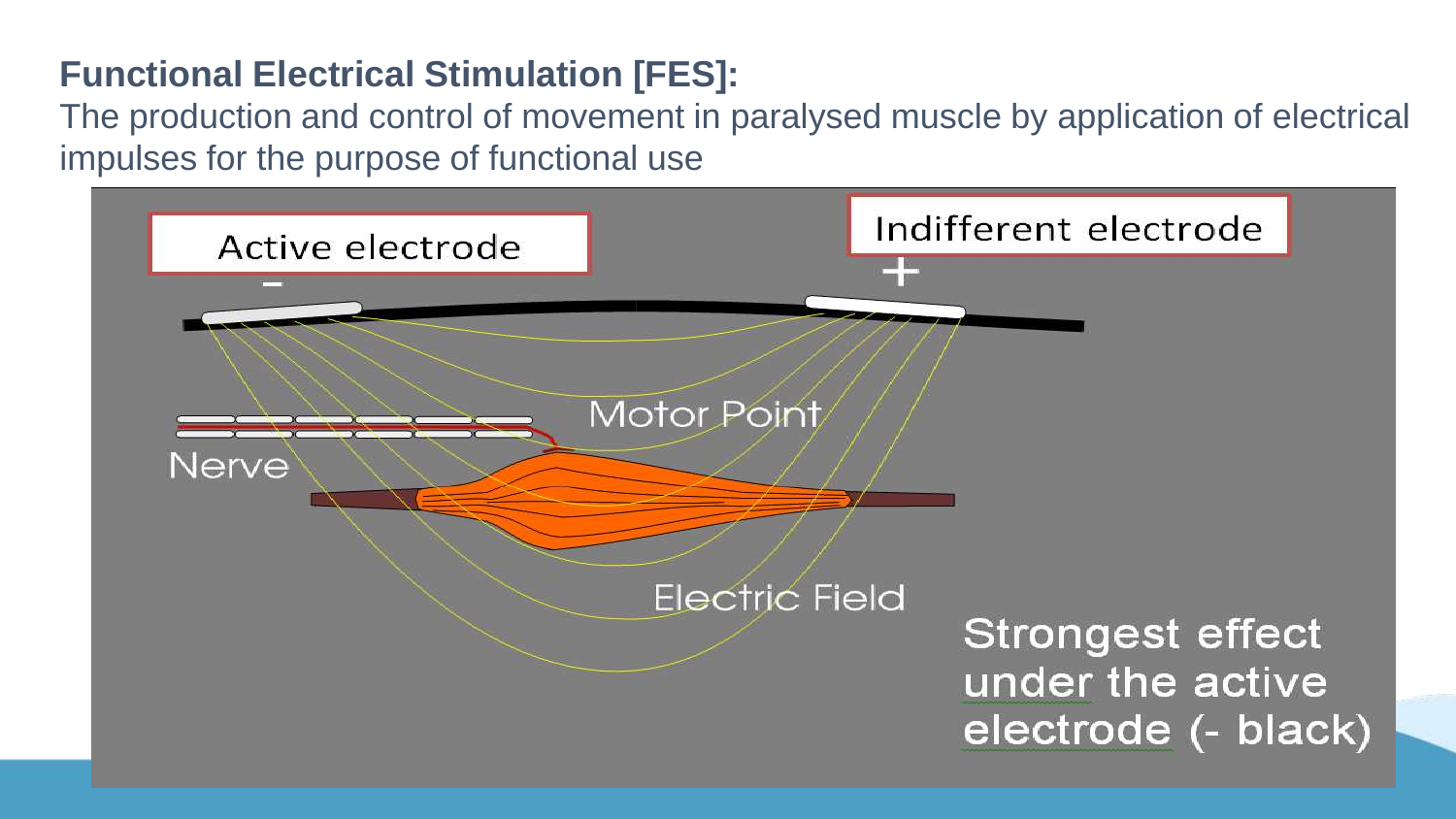#### **Functional Electrical Stimulation [FES]:**

The production and control of movement in paralysed muscle by application of electrical impulses for the purpose of functional use

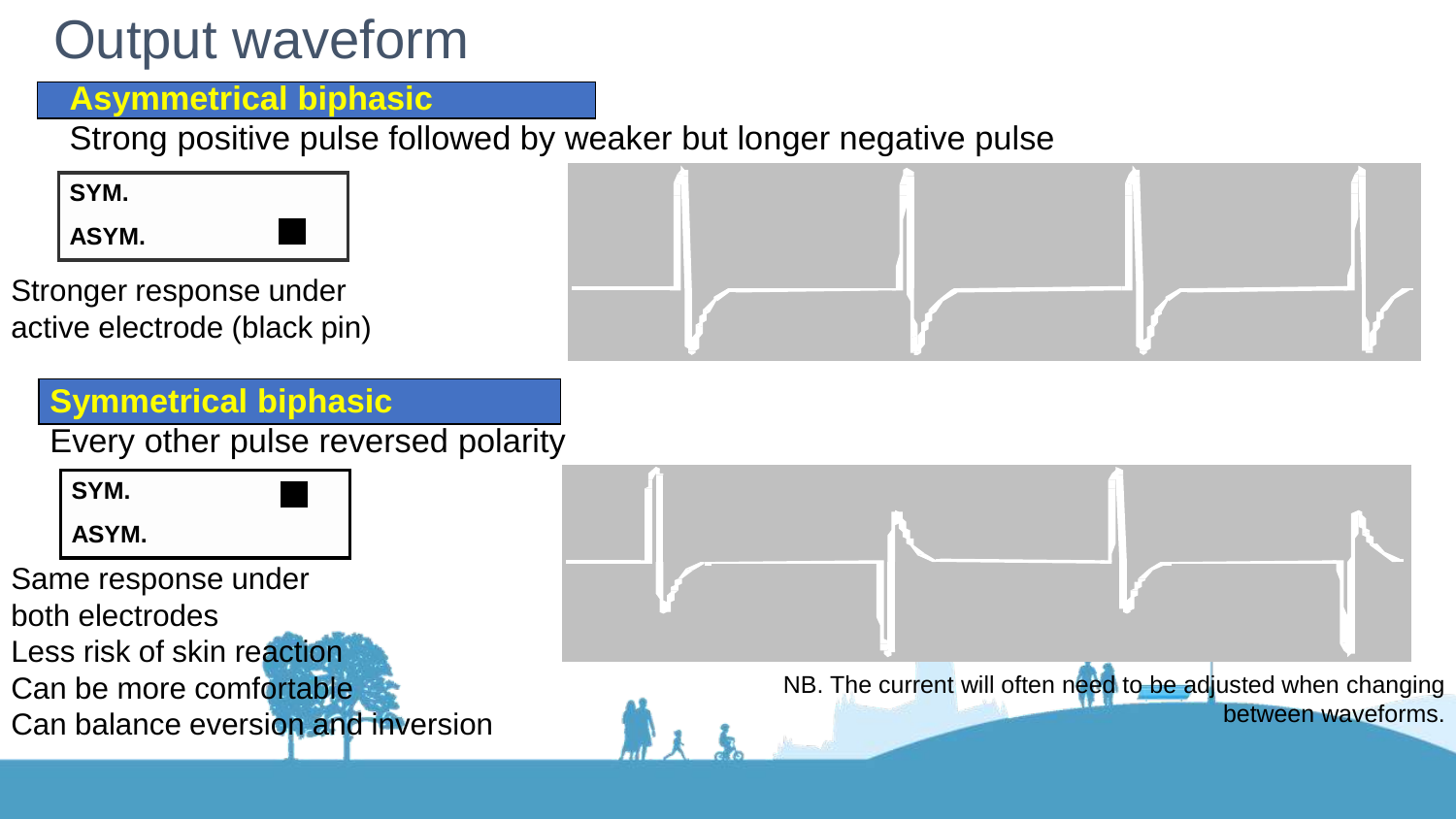## Output waveform

#### **Asymmetrical biphasic**

Strong positive pulse followed by weaker but longer negative pulse

**SYM. ASYM.**

Stronger response under active electrode (black pin)



Every other pulse reversed polarity

**SYM.**

**ASYM.**

Same response under

both electrodes

Less risk of skin reaction

Can be more comfortable

Can balance eversion and inversion



NB. The current will often need to be adjusted when changing between waveforms.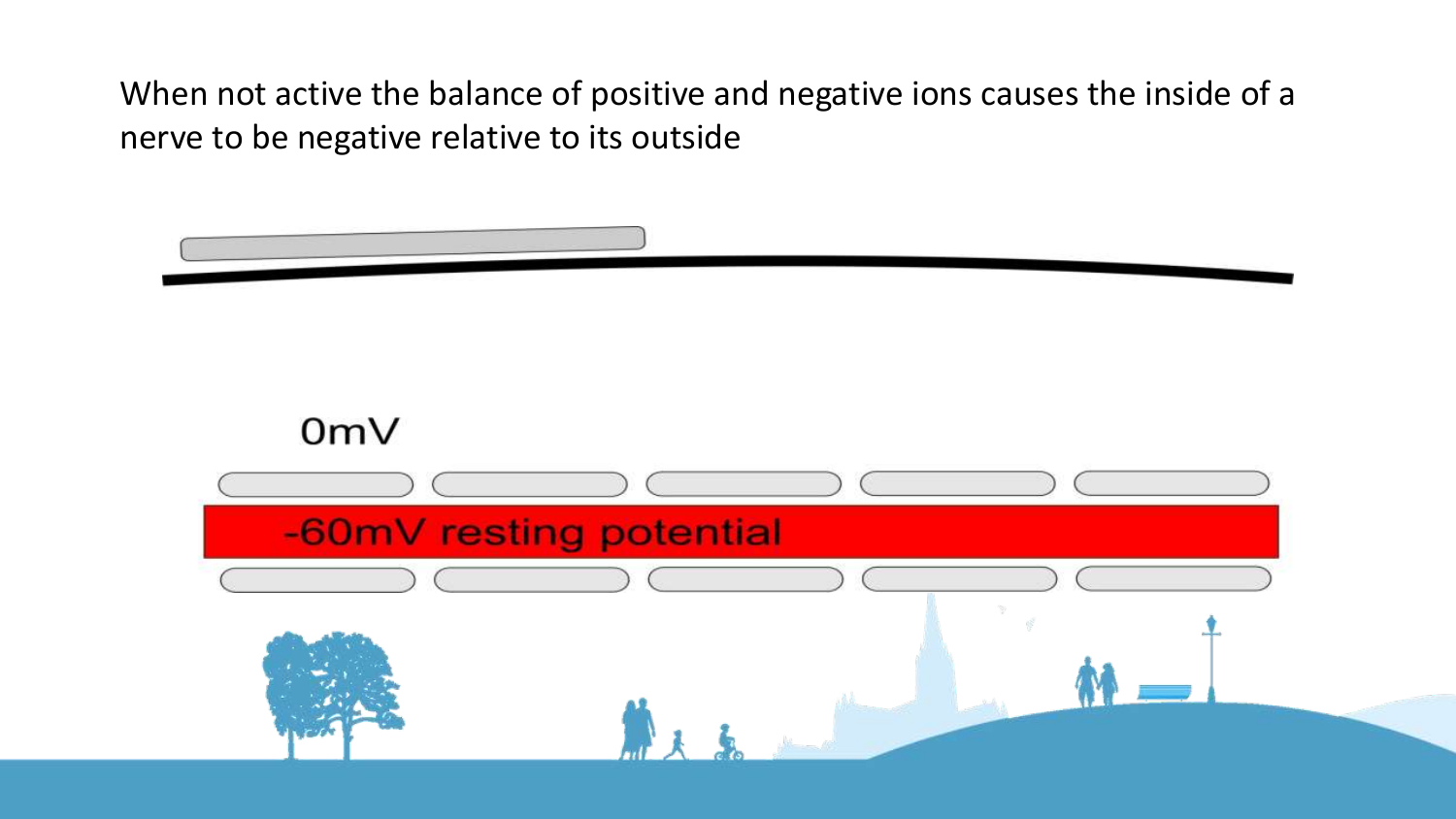When not active the balance of positive and negative ions causes the inside of a nerve to be negative relative to its outside

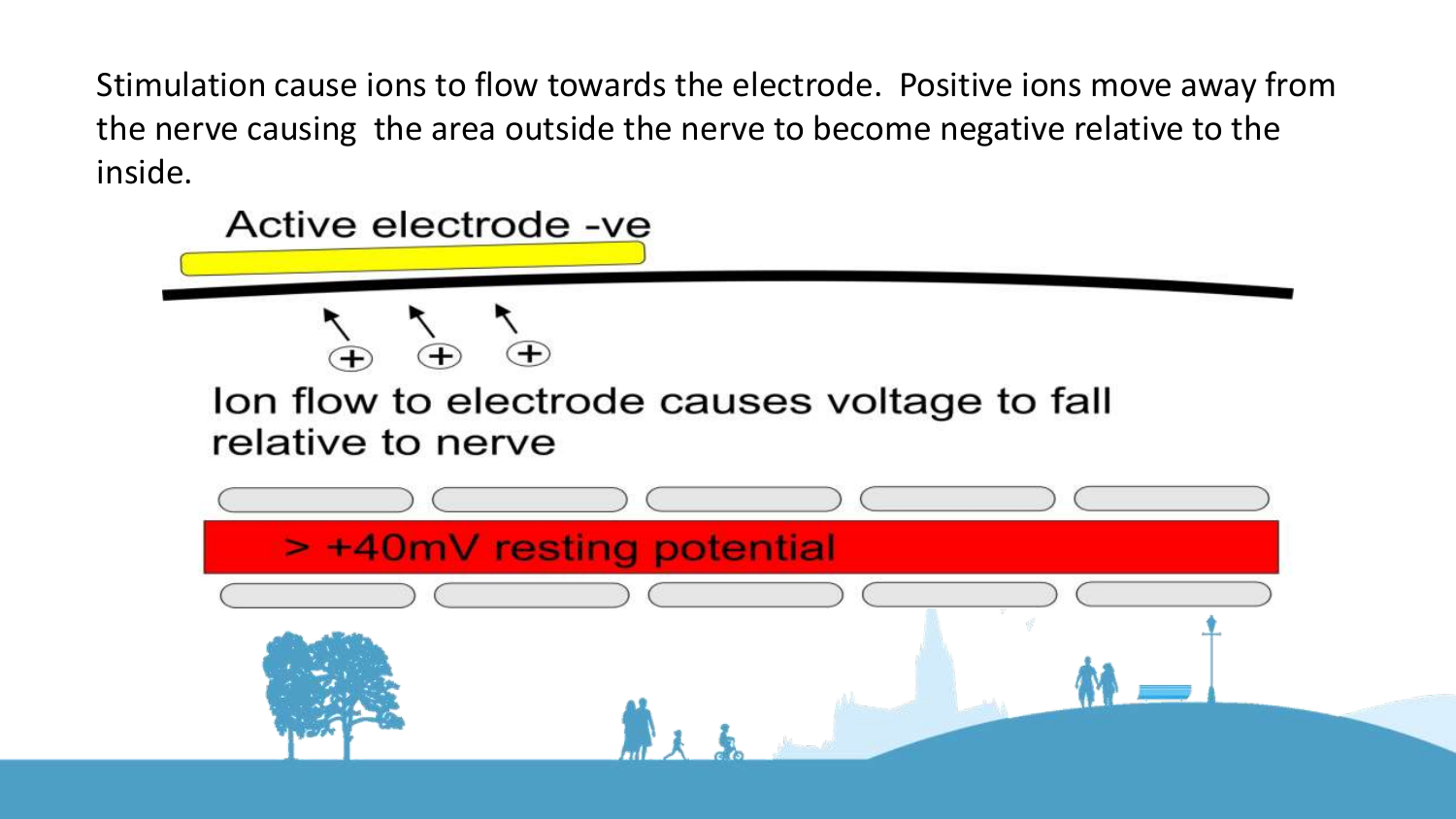Stimulation cause ions to flow towards the electrode. Positive ions move away from the nerve causing the area outside the nerve to become negative relative to the inside.

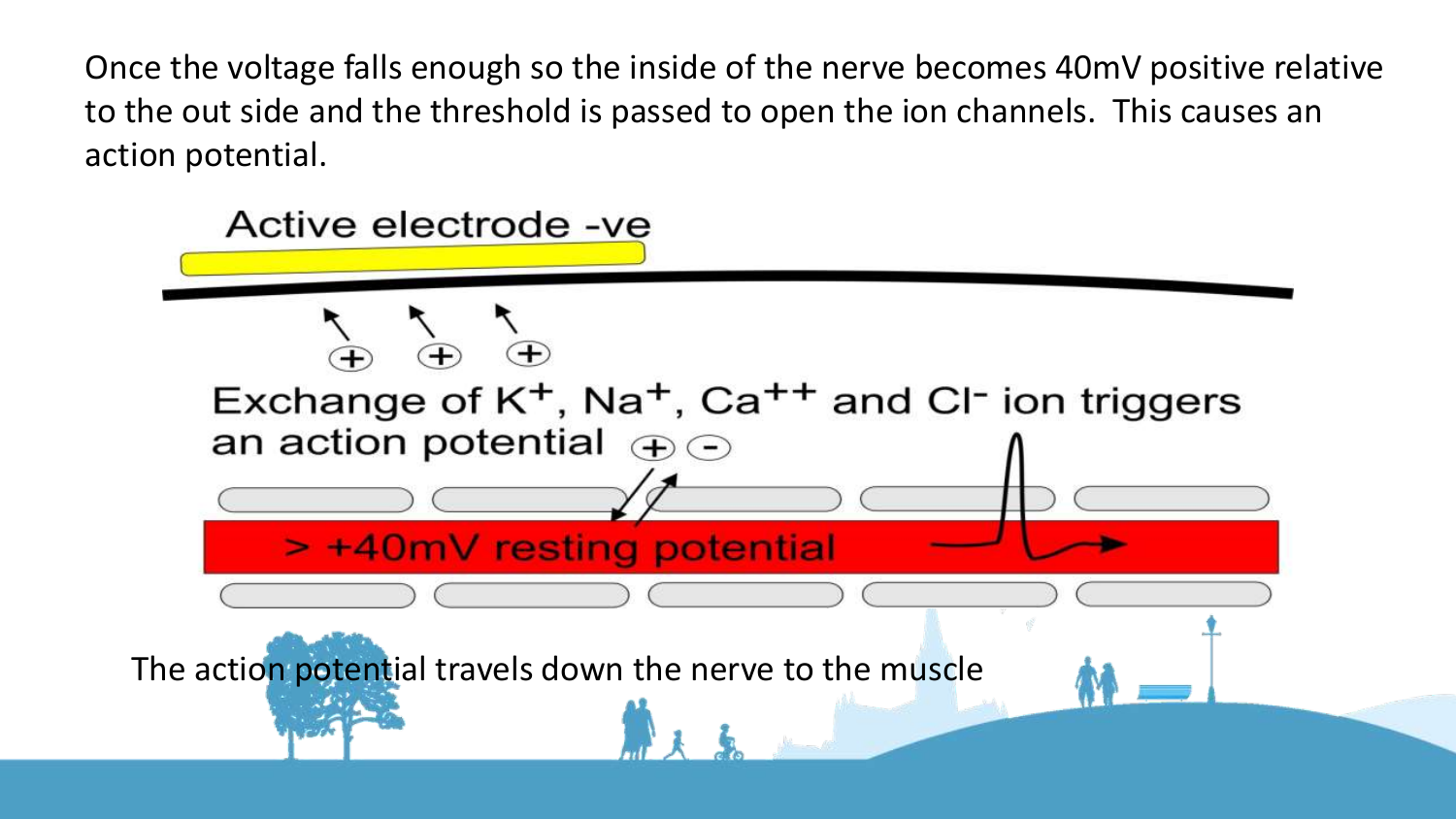Once the voltage falls enough so the inside of the nerve becomes 40mV positive relative to the out side and the threshold is passed to open the ion channels. This causes an action potential.

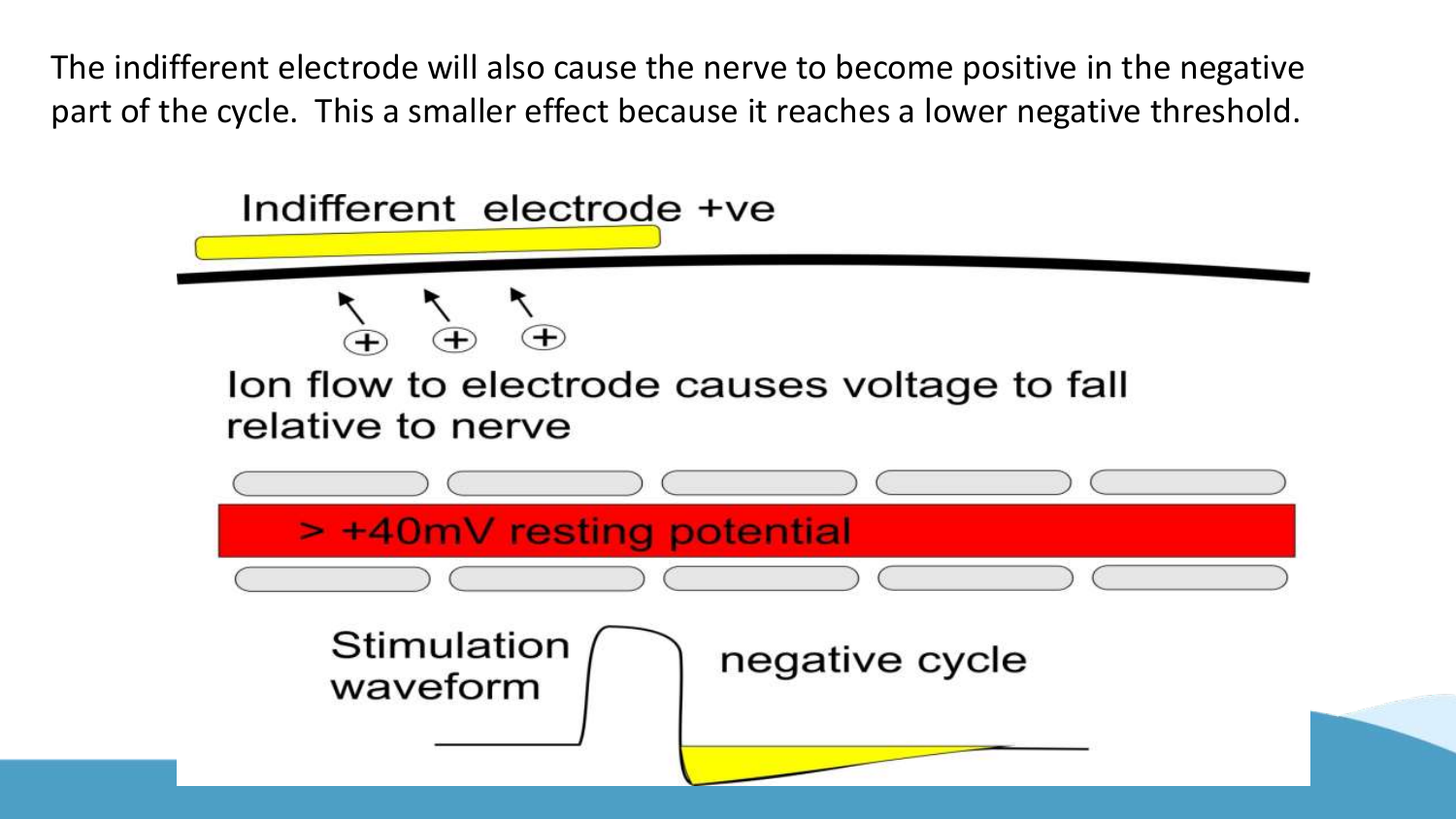The indifferent electrode will also cause the nerve to become positive in the negative part of the cycle. This a smaller effect because it reaches a lower negative threshold.

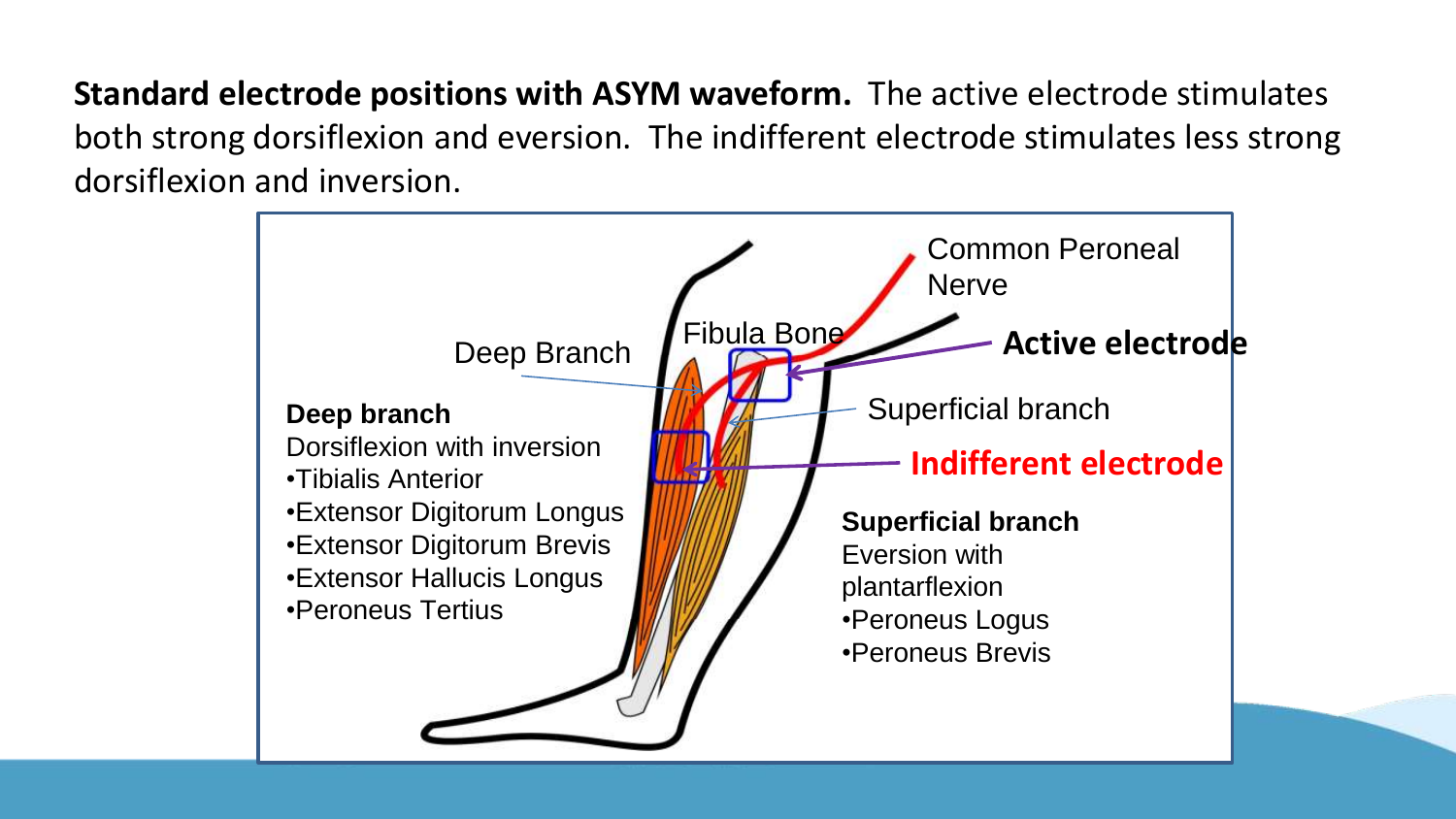**Standard electrode positions with ASYM waveform.** The active electrode stimulates both strong dorsiflexion and eversion. The indifferent electrode stimulates less strong dorsiflexion and inversion.

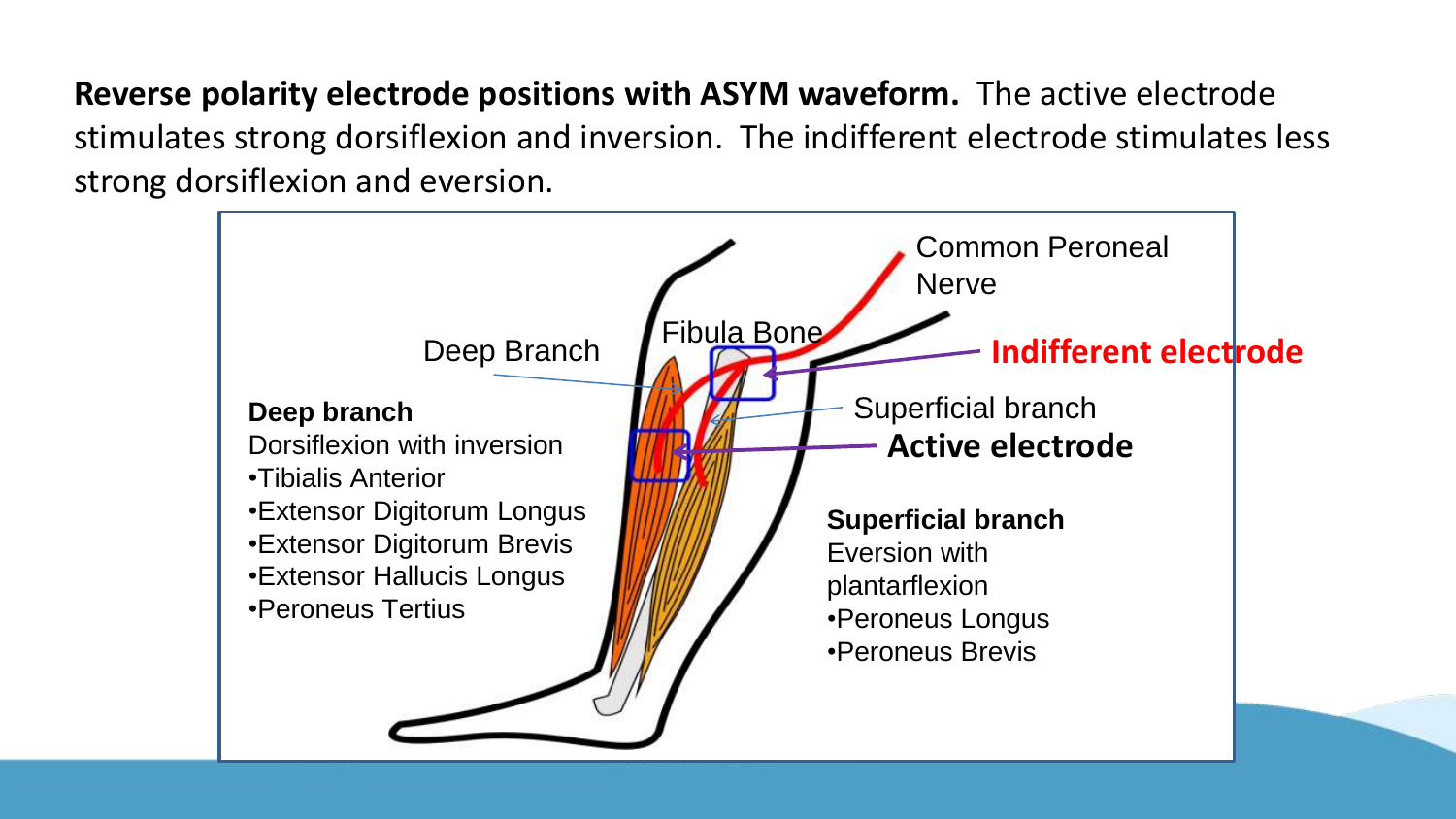**Reverse polarity electrode positions with ASYM waveform.** The active electrode stimulates strong dorsiflexion and inversion. The indifferent electrode stimulates less strong dorsiflexion and eversion.

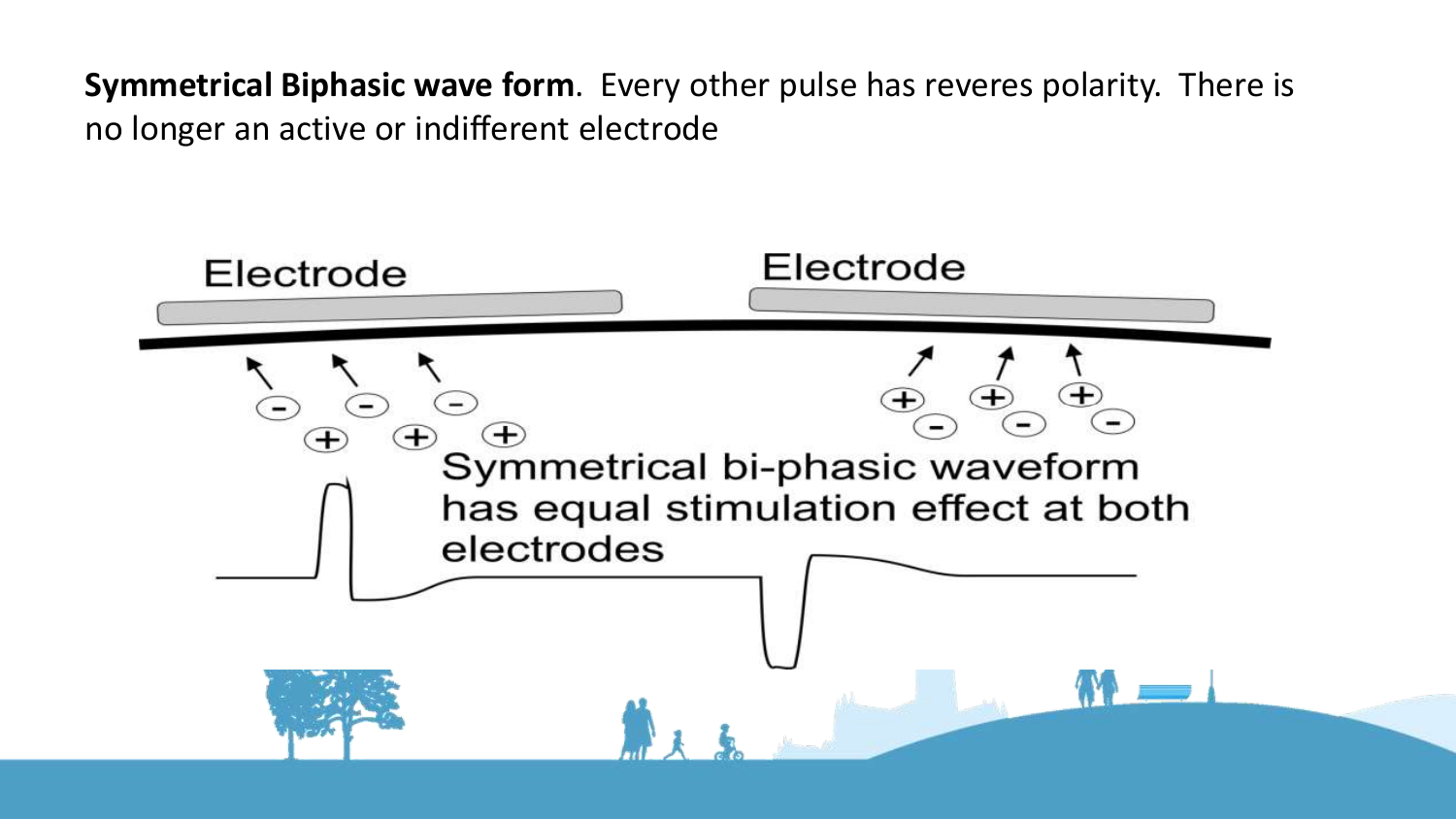**Symmetrical Biphasic wave form**. Every other pulse has reveres polarity. There is no longer an active or indifferent electrode

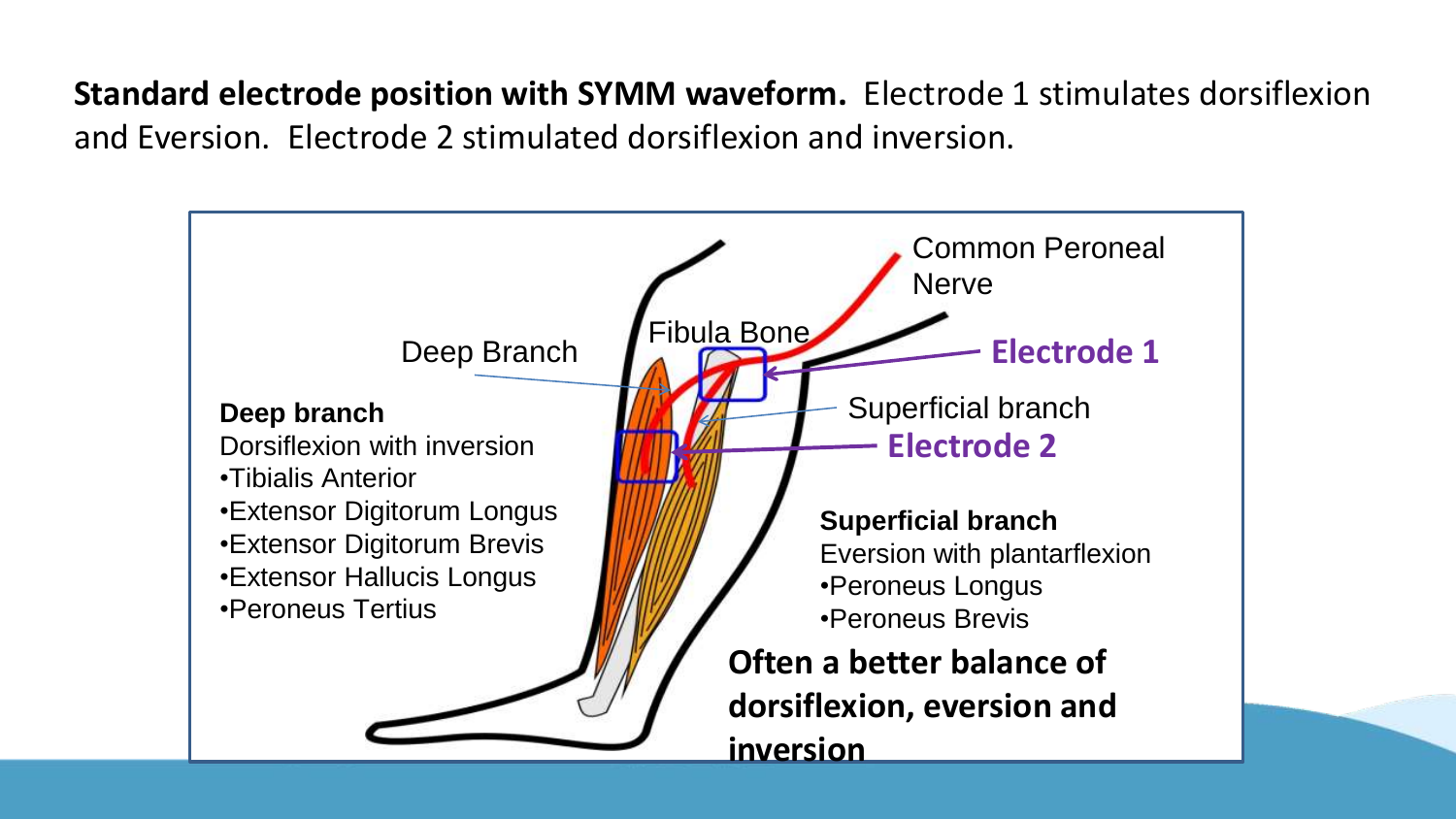**Standard electrode position with SYMM waveform.** Electrode 1 stimulates dorsiflexion and Eversion. Electrode 2 stimulated dorsiflexion and inversion.

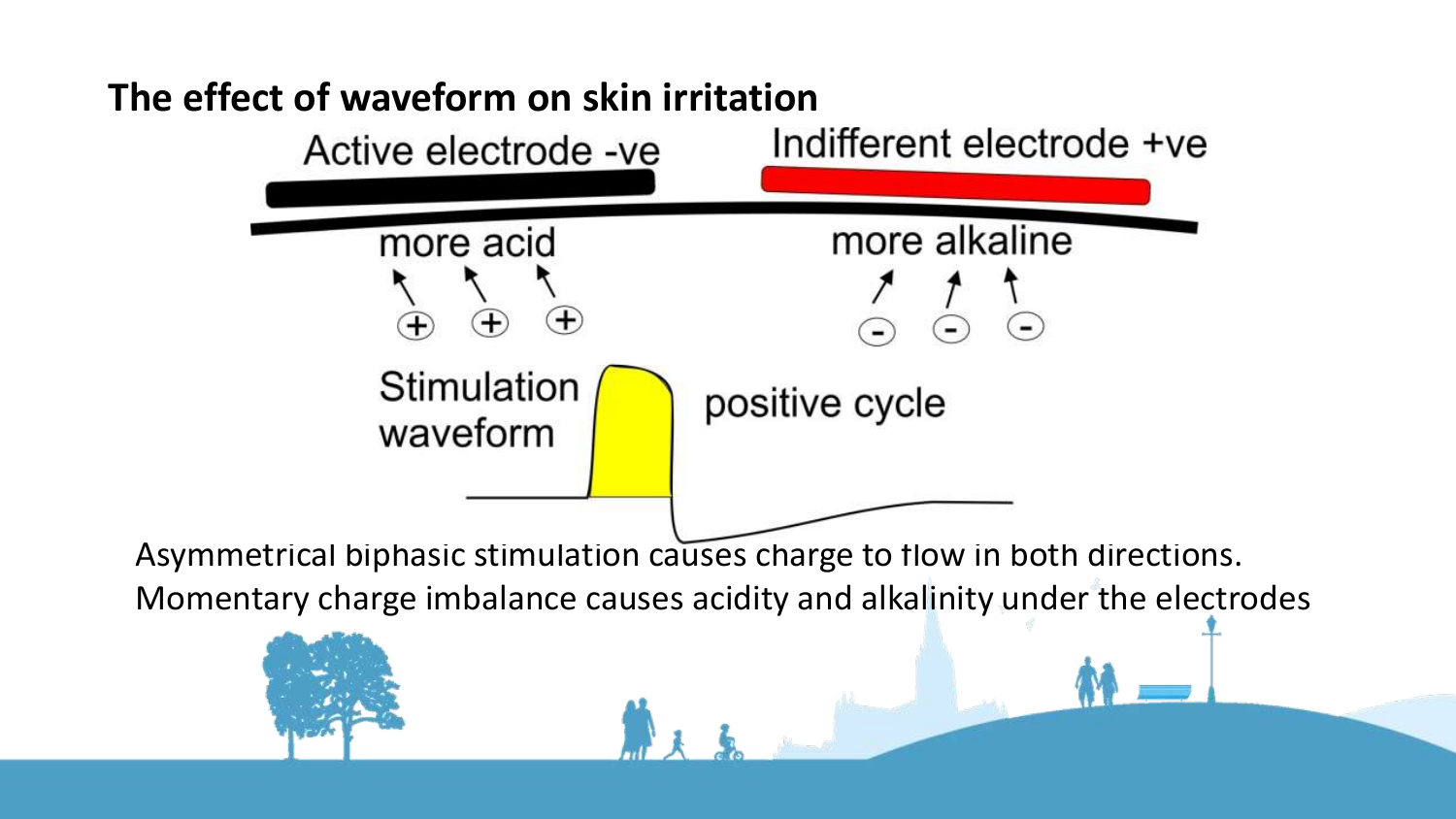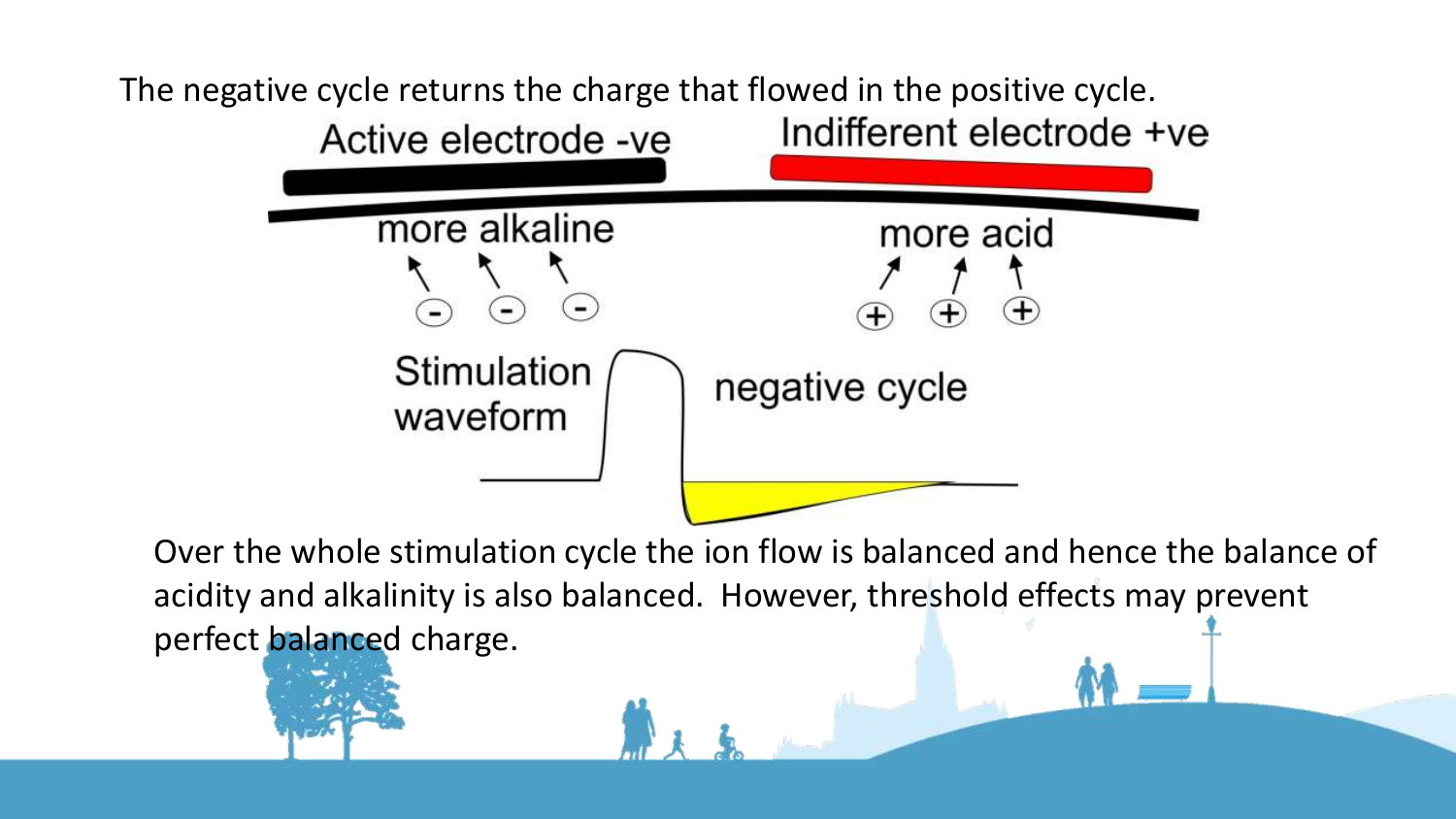

Over the whole stimulation cycle the ion flow is balanced and hence the balance of acidity and alkalinity is also balanced. However, threshold effects may prevent perfect balanced charge.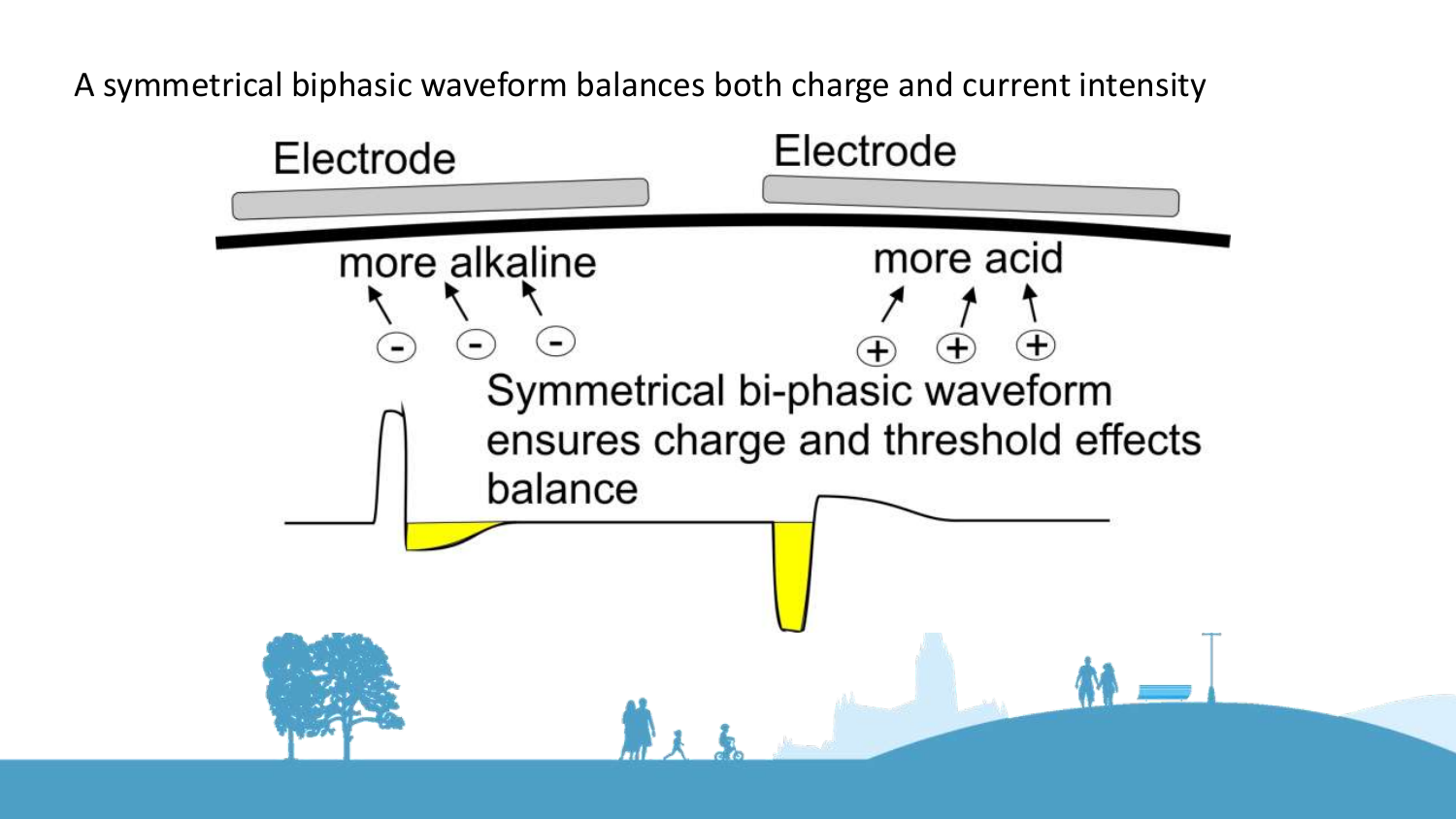A symmetrical biphasic waveform balances both charge and current intensity

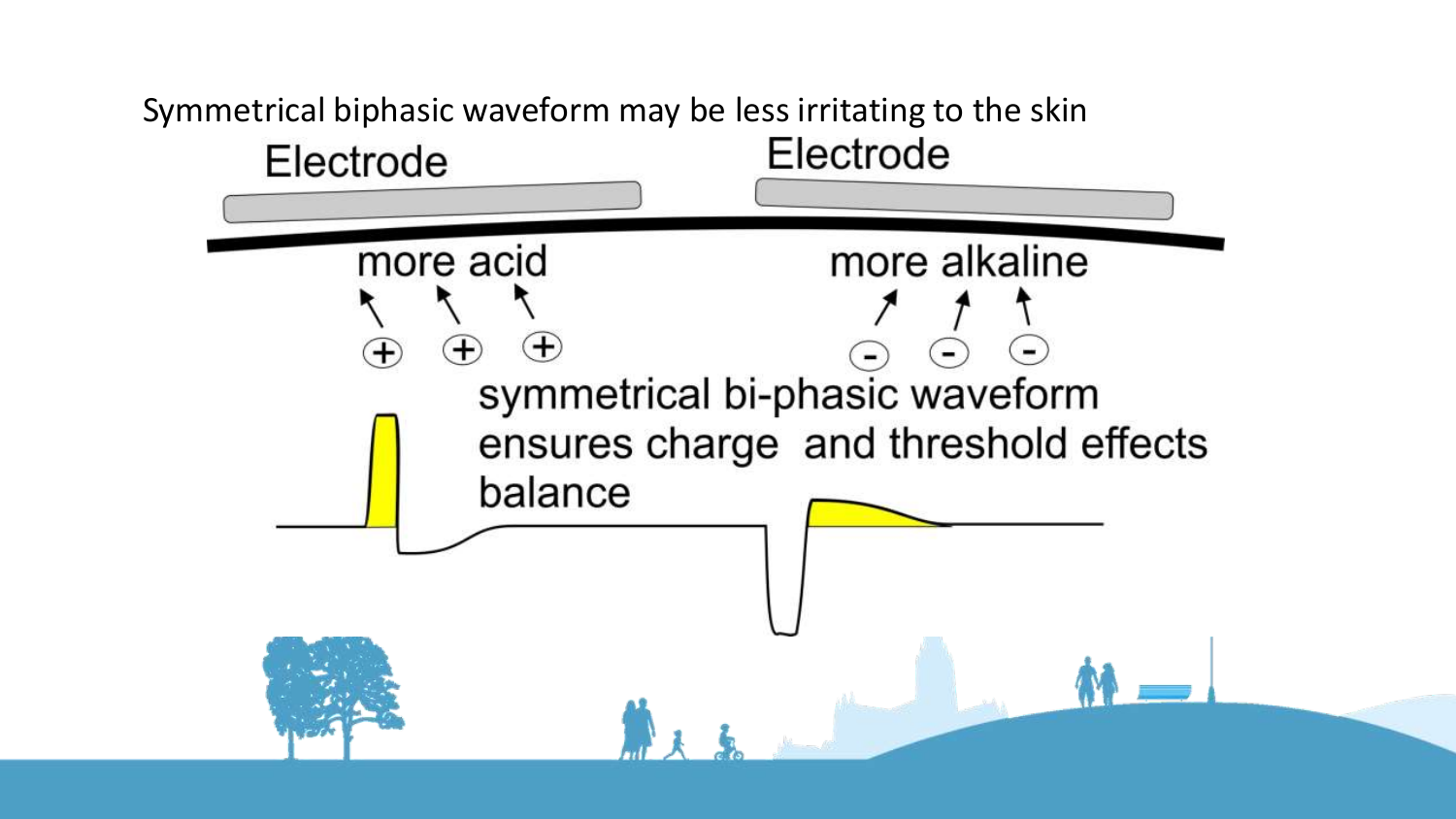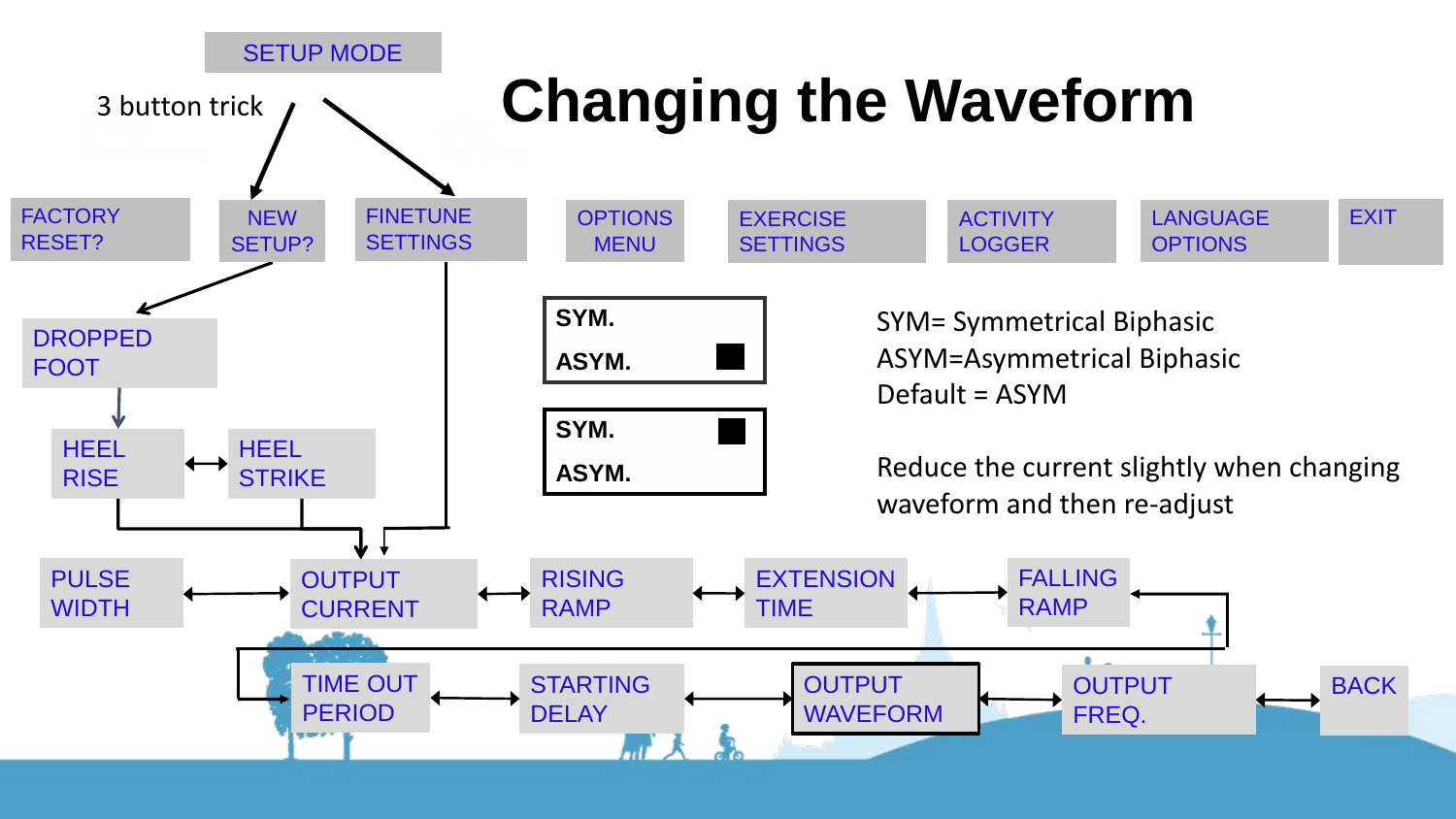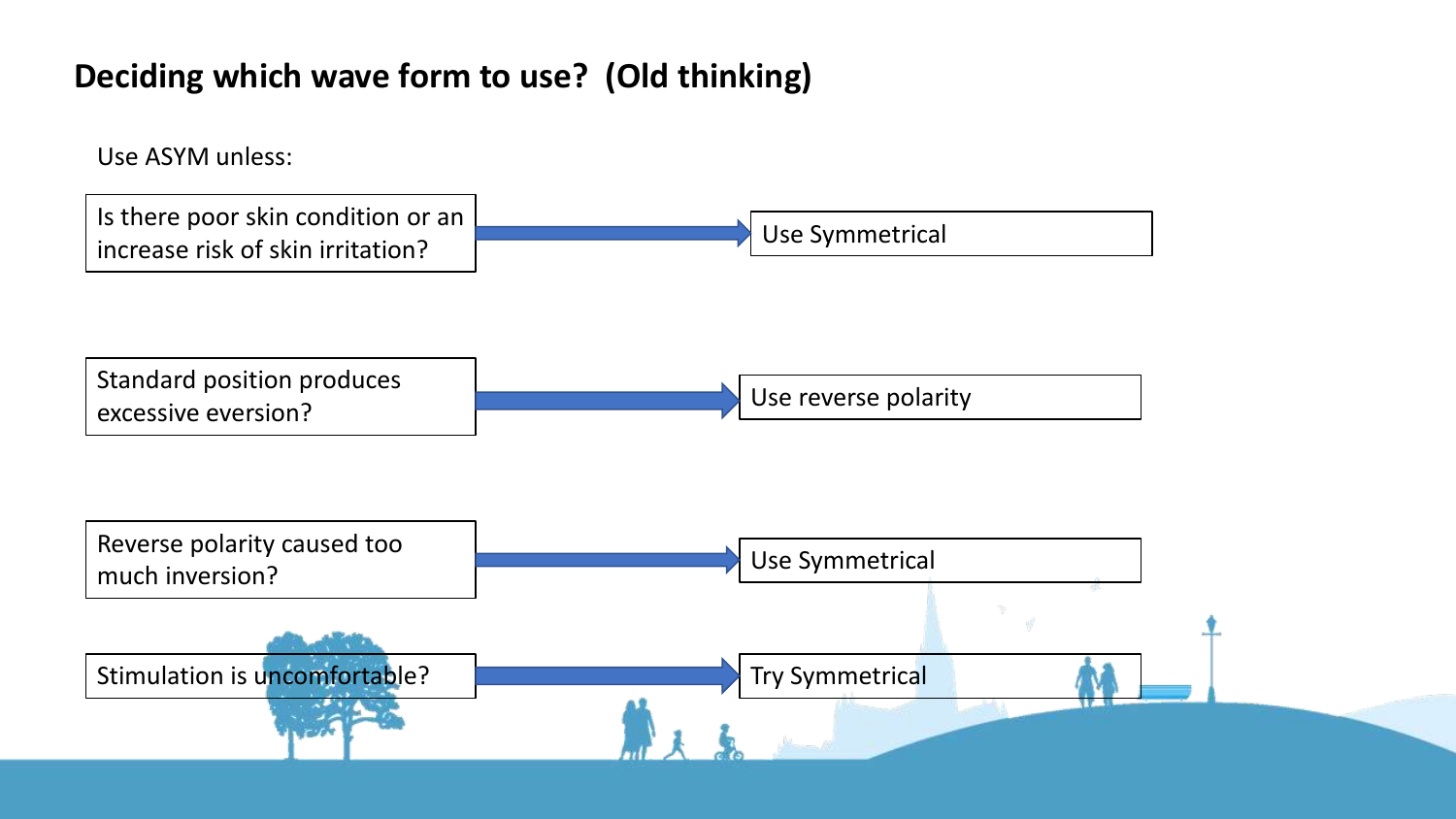#### **Deciding which wave form to use? (Old thinking)**

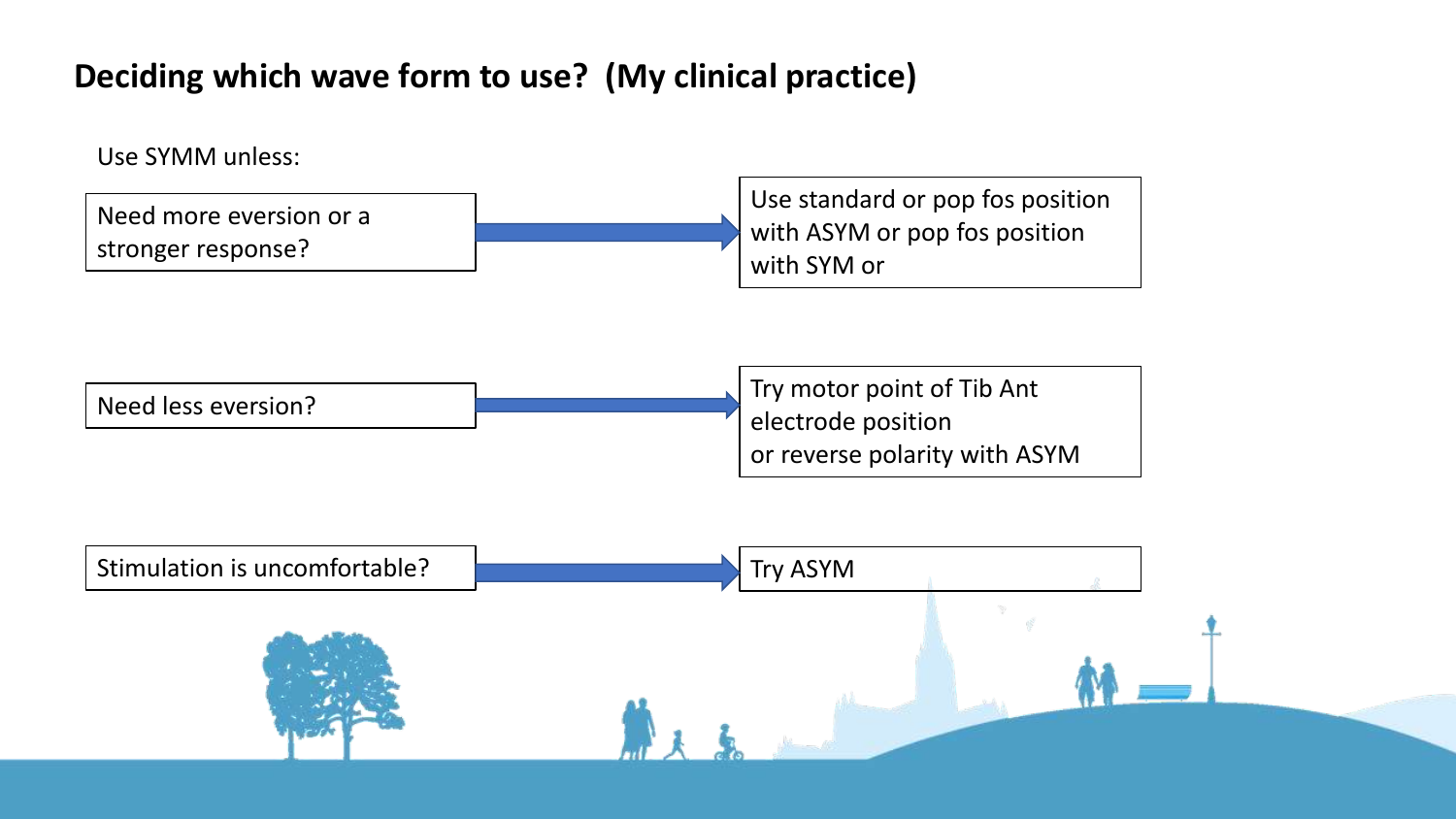#### **Deciding which wave form to use? (My clinical practice)**

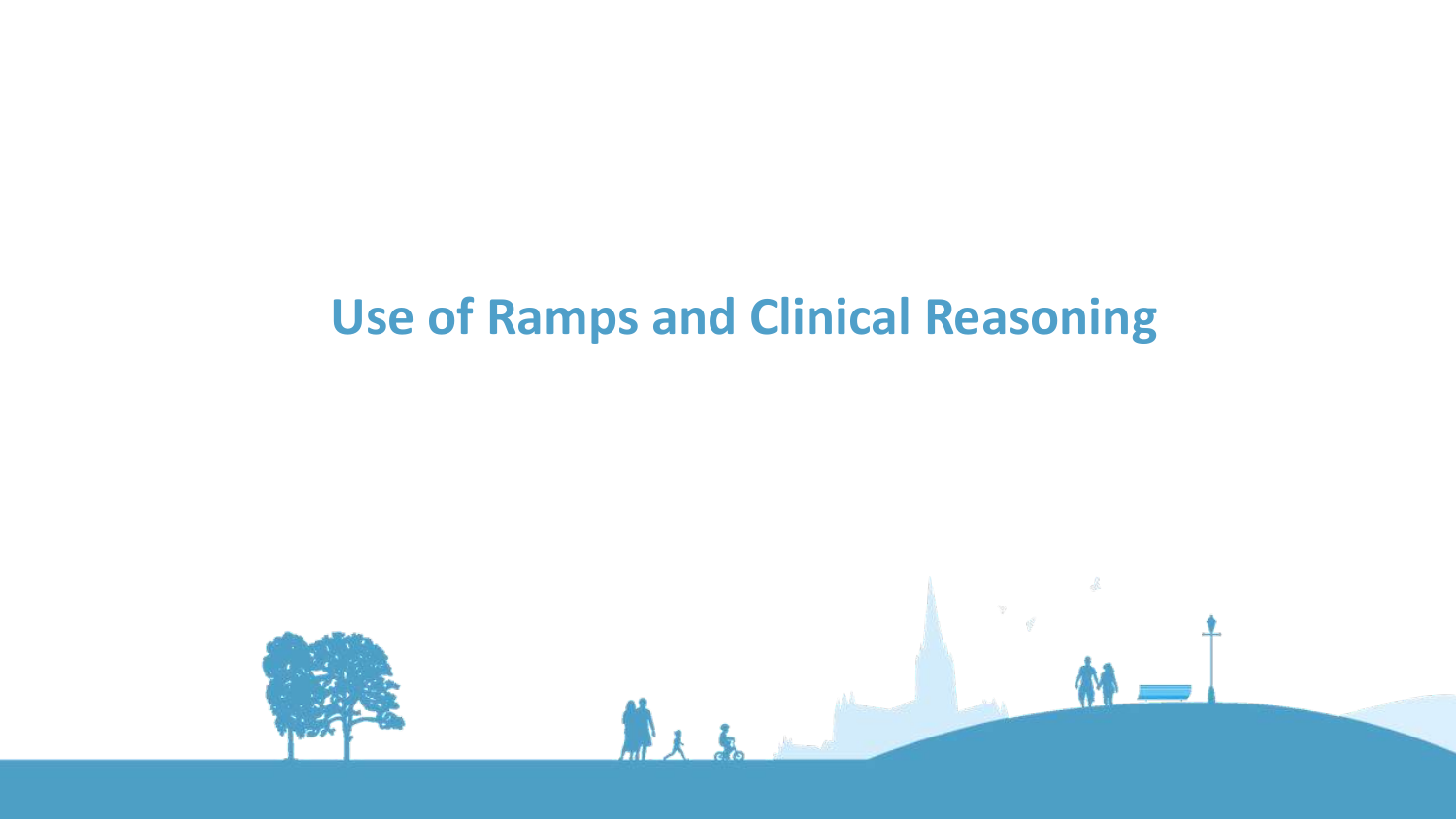#### **Use of Ramps and Clinical Reasoning**

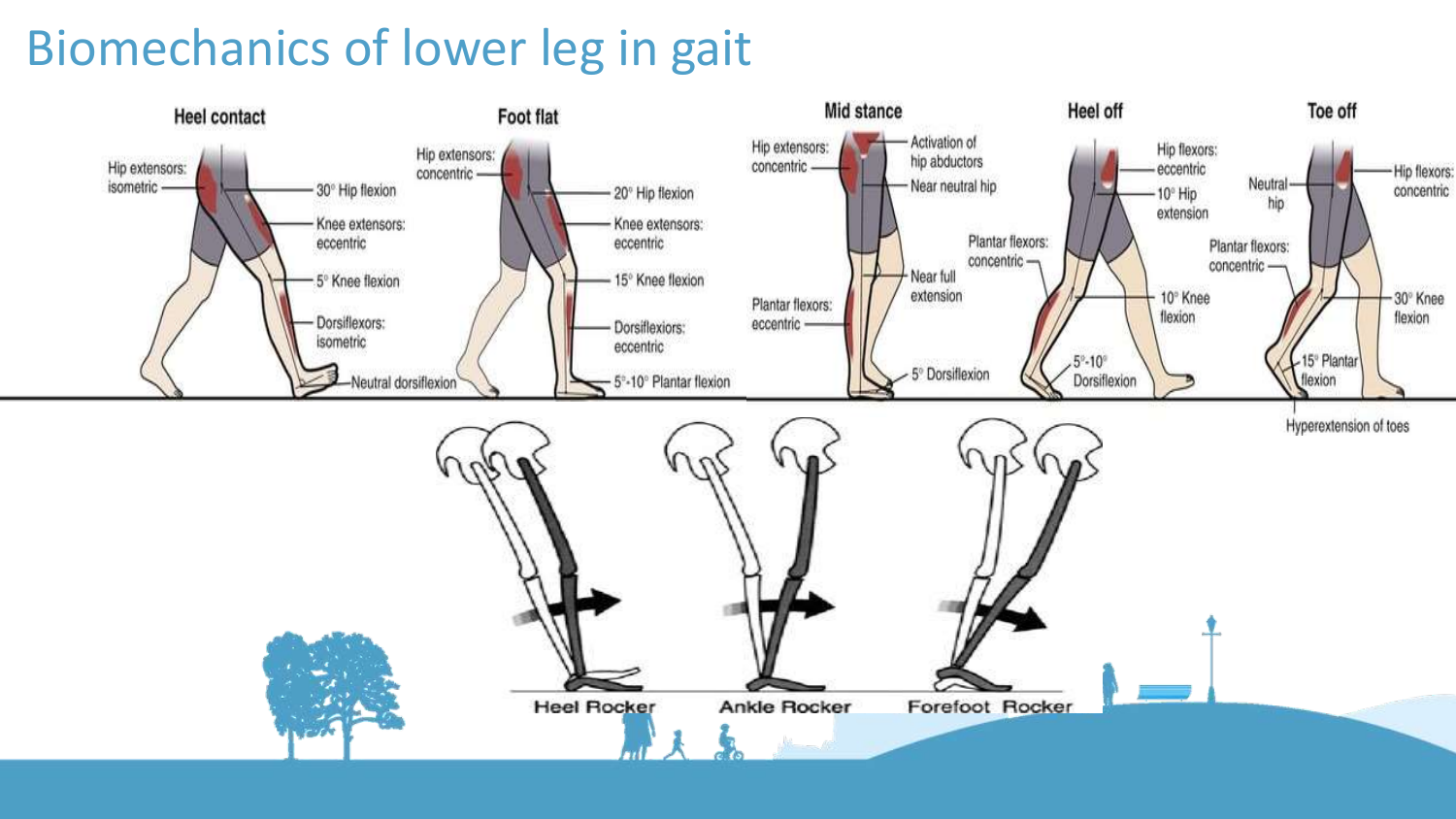#### Biomechanics of lower leg in gait

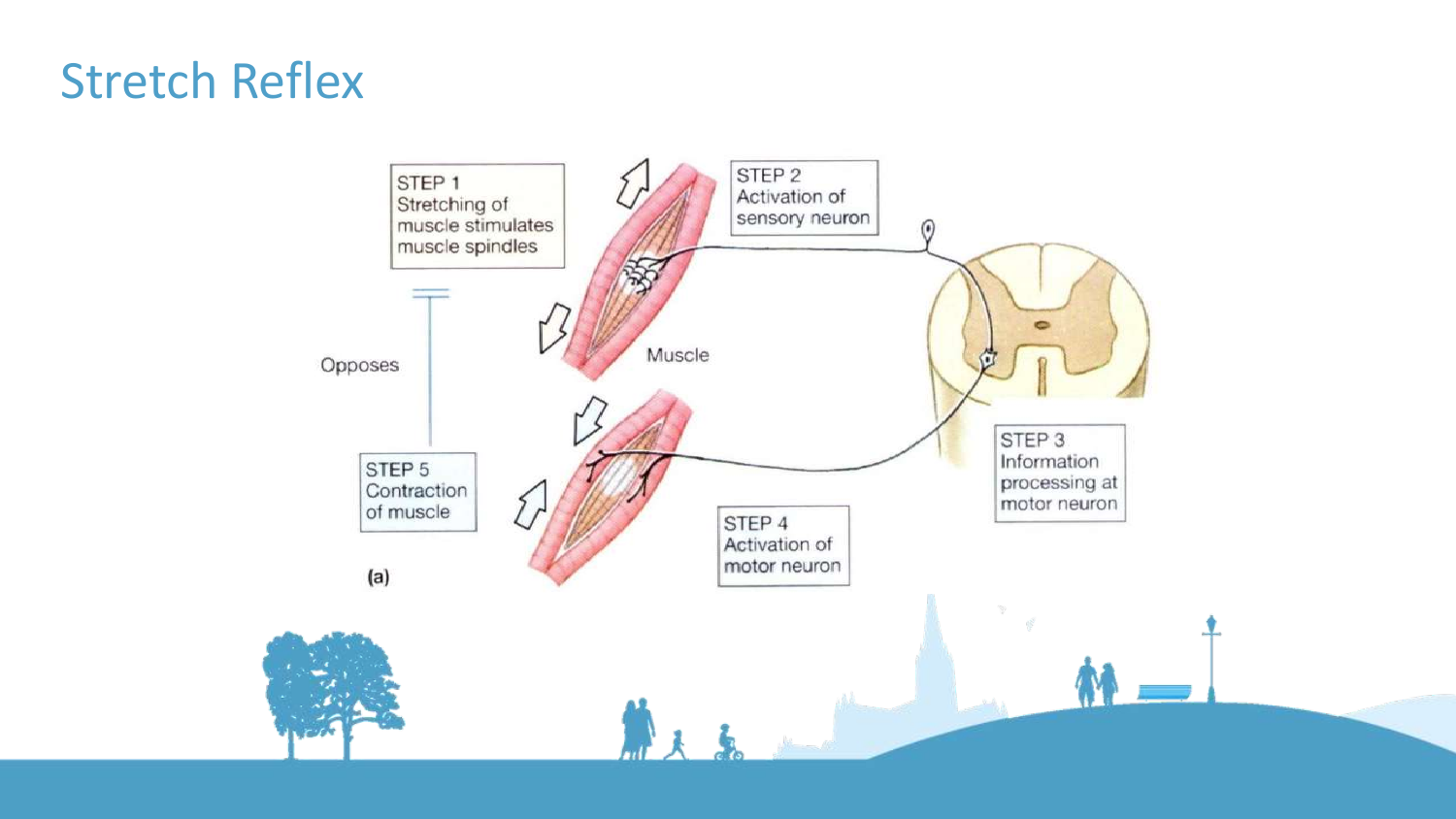#### Stretch Reflex

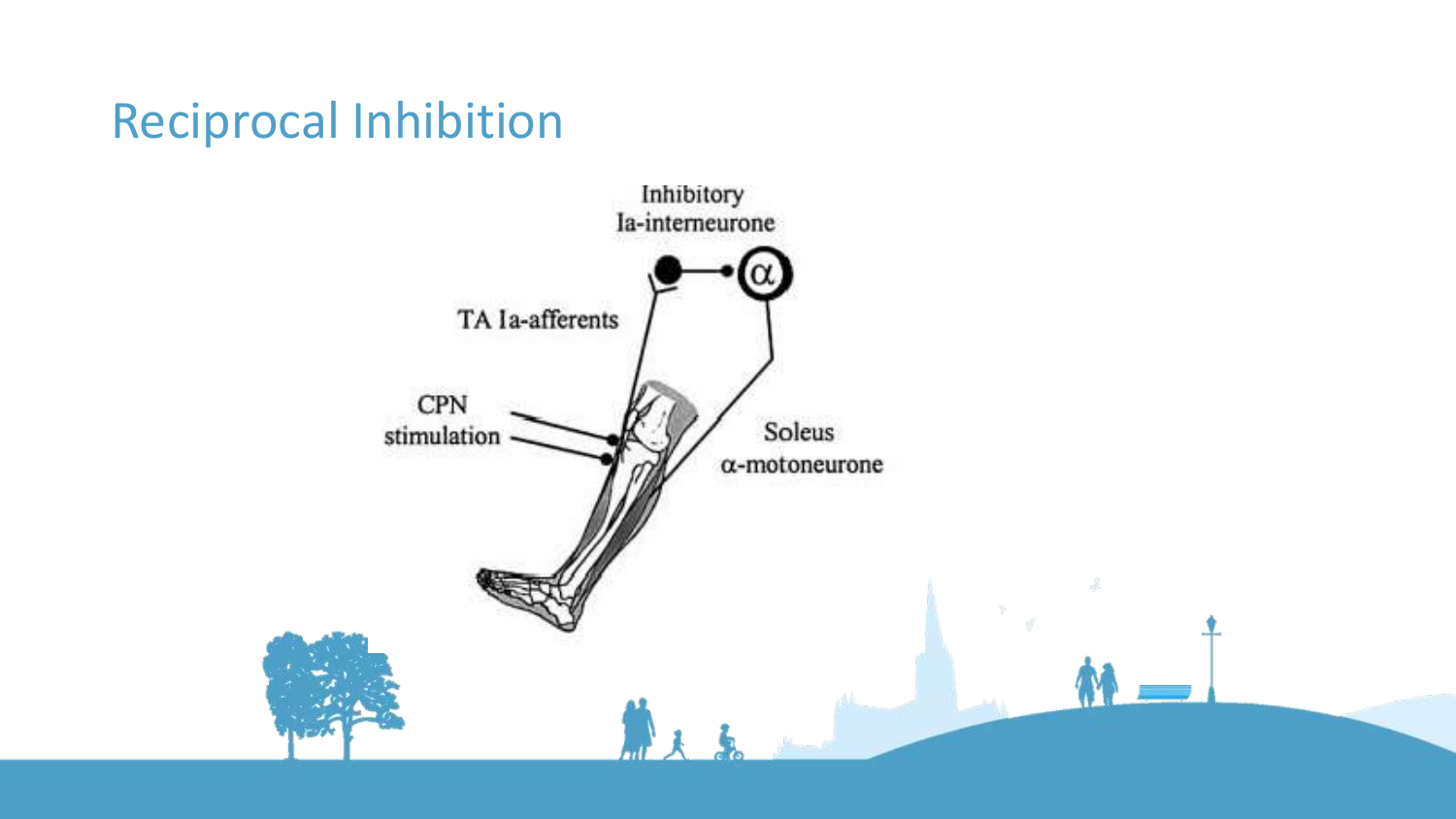#### Reciprocal Inhibition

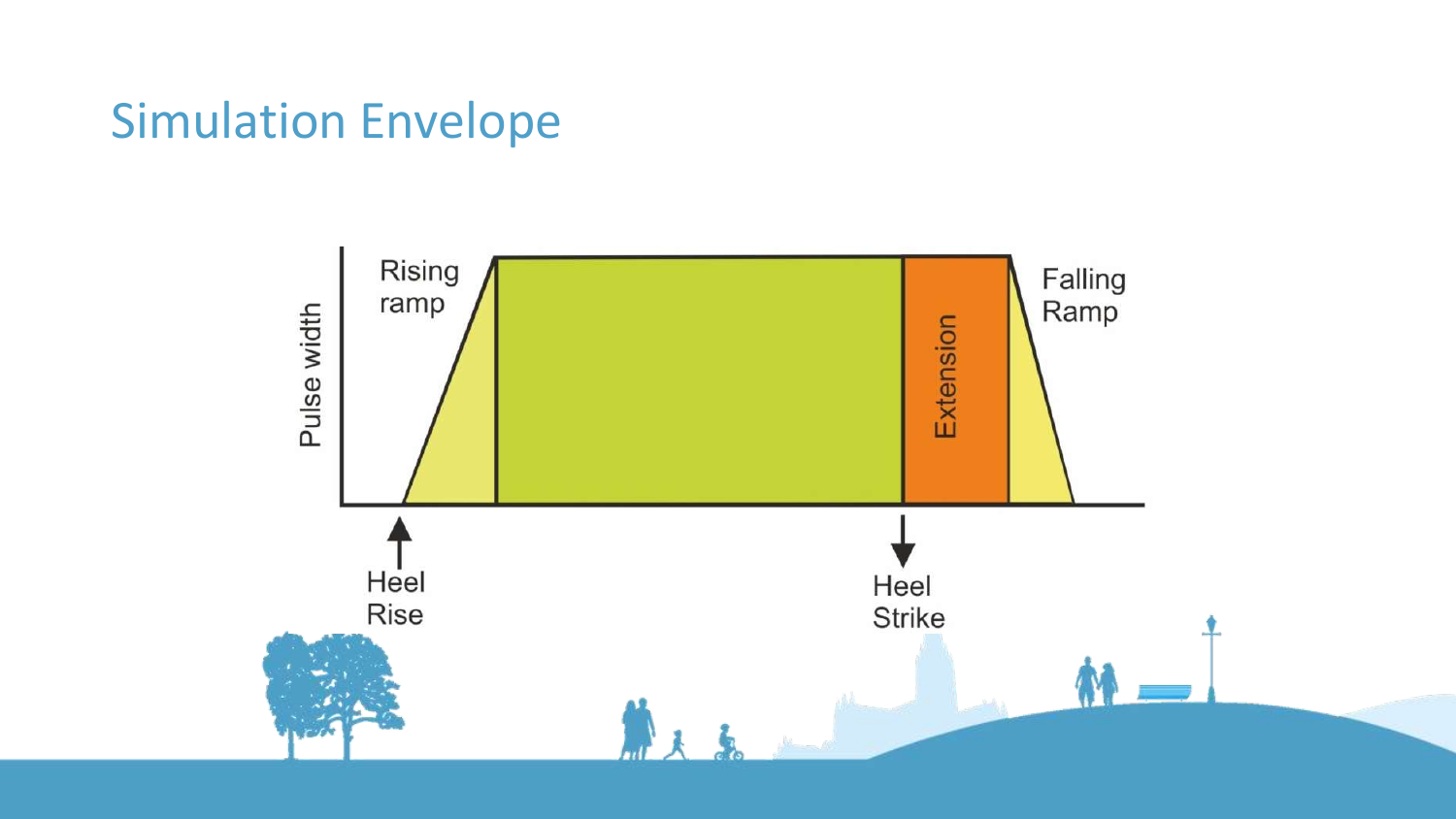#### Simulation Envelope

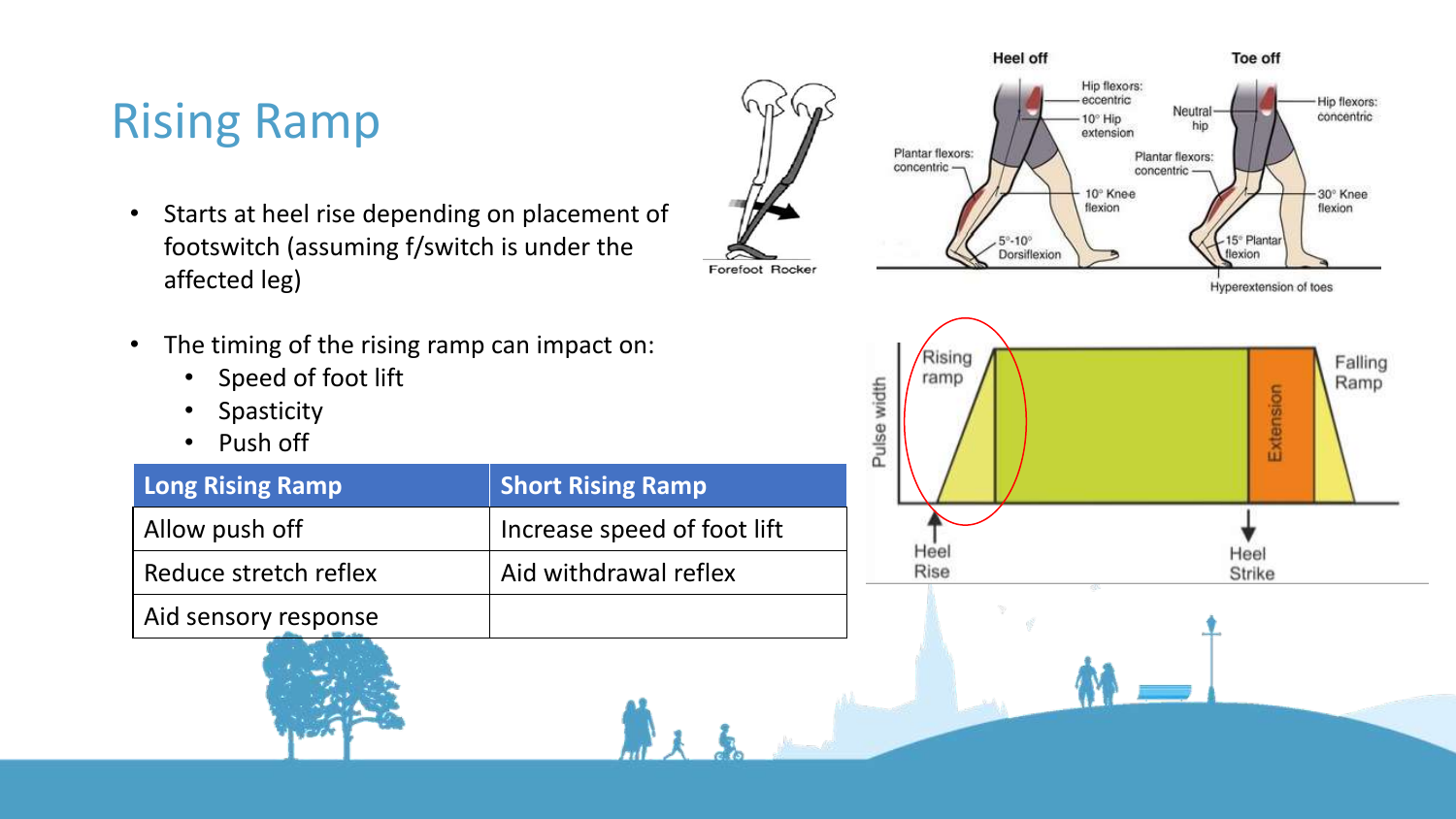### Rising Ramp

- Starts at heel rise depending on placement of footswitch (assuming f/switch is under the affected leg)
- The timing of the rising ramp can impact on:
	- Speed of foot lift
	- Spasticity
	- Push off

| <b>Long Rising Ramp</b> | <b>Short Rising Ramp</b>    |
|-------------------------|-----------------------------|
| Allow push off          | Increase speed of foot lift |
| Reduce stretch reflex   | Aid withdrawal reflex       |
| Aid sensory response    |                             |

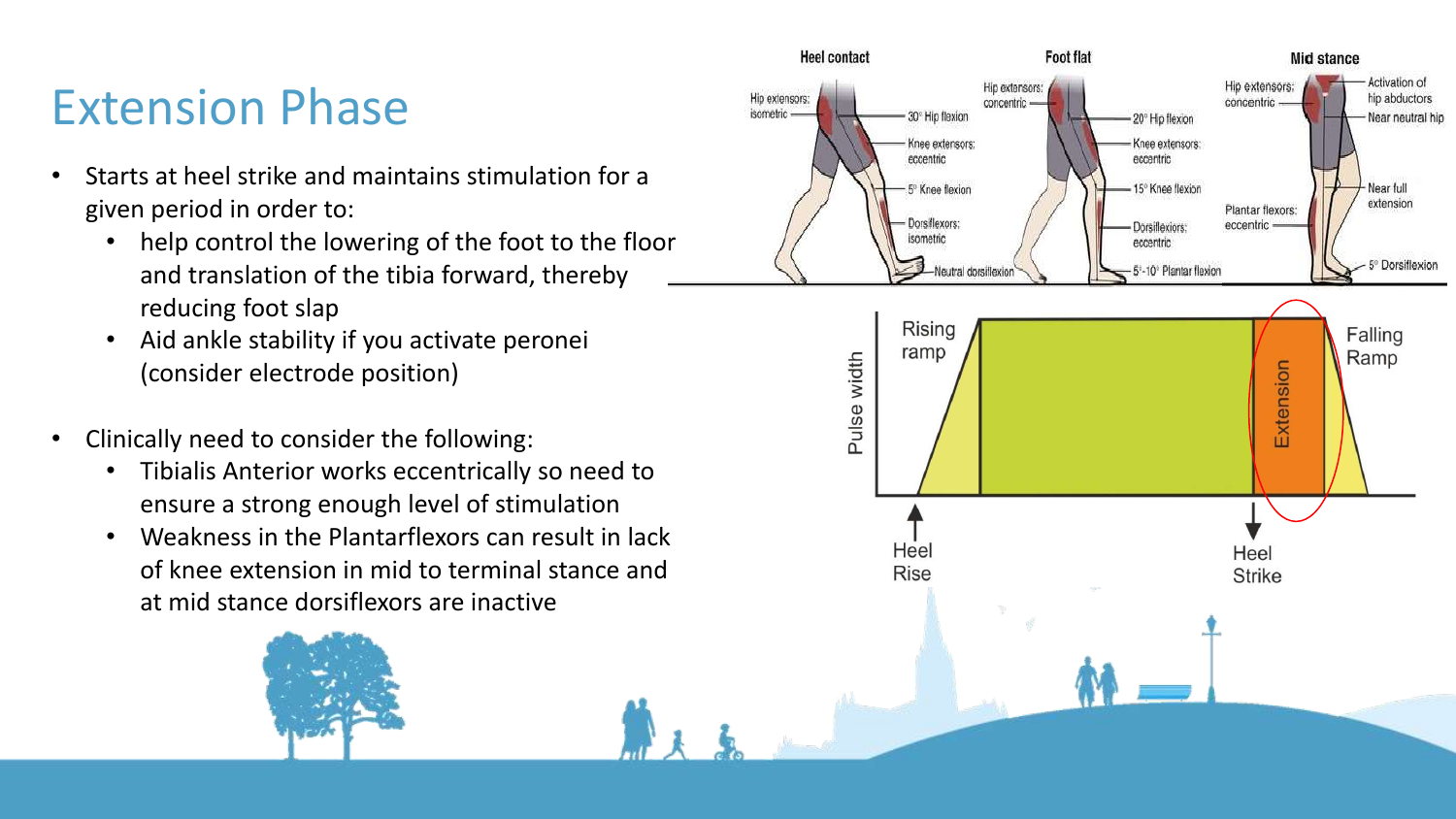#### Extension Phase

- Starts at heel strike and maintains stimulation for a given period in order to:
	- help control the lowering of the foot to the floor and translation of the tibia forward, thereby reducing foot slap
	- Aid ankle stability if you activate peronei (consider electrode position)
- Clinically need to consider the following:
	- Tibialis Anterior works eccentrically so need to ensure a strong enough level of stimulation
	- Weakness in the Plantarflexors can result in lack of knee extension in mid to terminal stance and at mid stance dorsiflexors are inactive